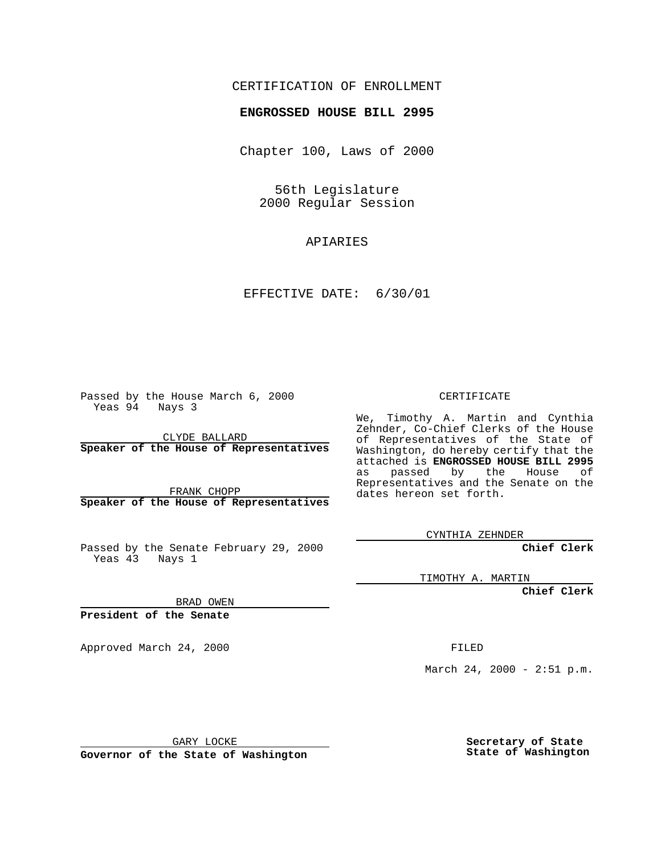## CERTIFICATION OF ENROLLMENT

## **ENGROSSED HOUSE BILL 2995**

Chapter 100, Laws of 2000

56th Legislature 2000 Regular Session

APIARIES

EFFECTIVE DATE: 6/30/01

Passed by the House March 6, 2000 Yeas 94 Nays 3

CLYDE BALLARD **Speaker of the House of Representatives**

FRANK CHOPP **Speaker of the House of Representatives**

Passed by the Senate February 29, 2000 Yeas 43 Nays 1

CERTIFICATE

We, Timothy A. Martin and Cynthia Zehnder, Co-Chief Clerks of the House of Representatives of the State of Washington, do hereby certify that the attached is **ENGROSSED HOUSE BILL 2995** as passed by the House of Representatives and the Senate on the dates hereon set forth.

CYNTHIA ZEHNDER

**Chief Clerk**

TIMOTHY A. MARTIN

**Chief Clerk**

BRAD OWEN

**President of the Senate**

Approved March 24, 2000 FILED

March 24, 2000 - 2:51 p.m.

GARY LOCKE

**Governor of the State of Washington**

**Secretary of State State of Washington**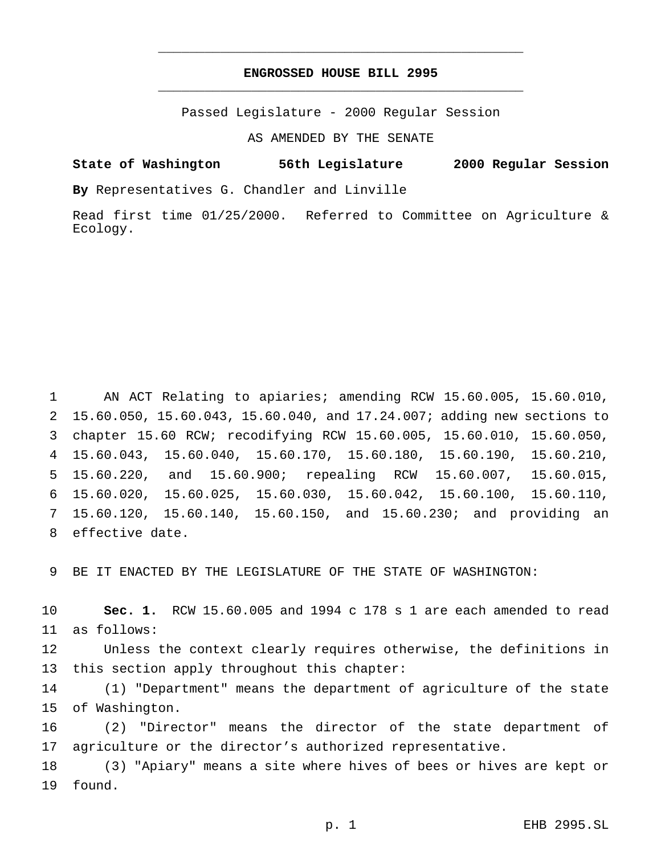## **ENGROSSED HOUSE BILL 2995** \_\_\_\_\_\_\_\_\_\_\_\_\_\_\_\_\_\_\_\_\_\_\_\_\_\_\_\_\_\_\_\_\_\_\_\_\_\_\_\_\_\_\_\_\_\_\_

\_\_\_\_\_\_\_\_\_\_\_\_\_\_\_\_\_\_\_\_\_\_\_\_\_\_\_\_\_\_\_\_\_\_\_\_\_\_\_\_\_\_\_\_\_\_\_

Passed Legislature - 2000 Regular Session

AS AMENDED BY THE SENATE

**State of Washington 56th Legislature 2000 Regular Session**

**By** Representatives G. Chandler and Linville

Read first time 01/25/2000. Referred to Committee on Agriculture & Ecology.

 AN ACT Relating to apiaries; amending RCW 15.60.005, 15.60.010, 15.60.050, 15.60.043, 15.60.040, and 17.24.007; adding new sections to chapter 15.60 RCW; recodifying RCW 15.60.005, 15.60.010, 15.60.050, 15.60.043, 15.60.040, 15.60.170, 15.60.180, 15.60.190, 15.60.210, 15.60.220, and 15.60.900; repealing RCW 15.60.007, 15.60.015, 15.60.020, 15.60.025, 15.60.030, 15.60.042, 15.60.100, 15.60.110, 15.60.120, 15.60.140, 15.60.150, and 15.60.230; and providing an effective date.

BE IT ENACTED BY THE LEGISLATURE OF THE STATE OF WASHINGTON:

 **Sec. 1.** RCW 15.60.005 and 1994 c 178 s 1 are each amended to read as follows:

 Unless the context clearly requires otherwise, the definitions in this section apply throughout this chapter:

 (1) "Department" means the department of agriculture of the state of Washington.

 (2) "Director" means the director of the state department of agriculture or the director's authorized representative.

 (3) "Apiary" means a site where hives of bees or hives are kept or found.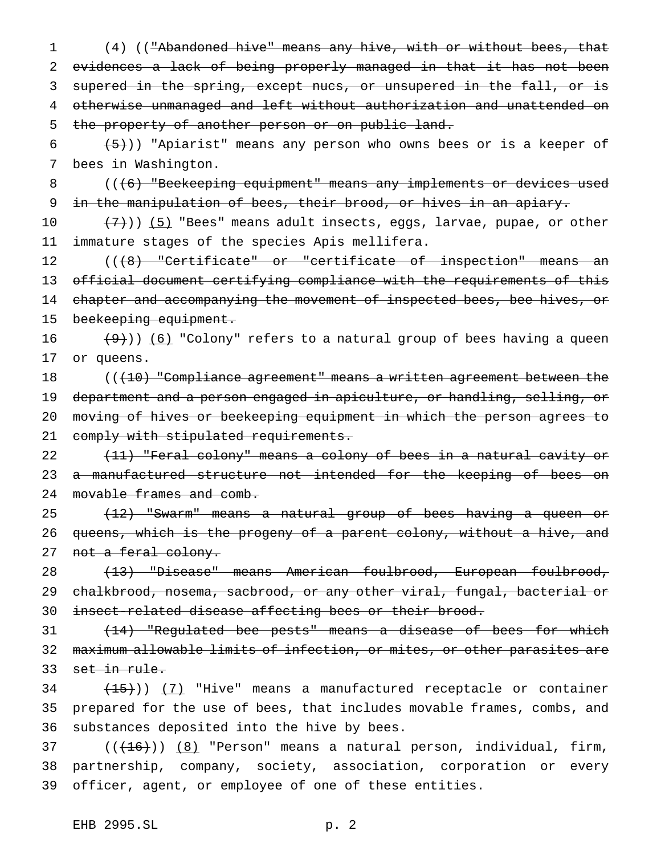(4) (("Abandoned hive" means any hive, with or without bees, that evidences a lack of being properly managed in that it has not been supered in the spring, except nucs, or unsupered in the fall, or is otherwise unmanaged and left without authorization and unattended on 5 the property of another person or on public land.

6  $(5)$ )) "Apiarist" means any person who owns bees or is a keeper of 7 bees in Washington.

8 (((6) "Beekeeping equipment" means any implements or devices used 9 in the manipulation of bees, their brood, or hives in an apiary.

10  $(7)$ )) (5) "Bees" means adult insects, eggs, larvae, pupae, or other 11 immature stages of the species Apis mellifera.

12 ((<del>(8) "Certificate" or "certificate of inspection" means an</del> 13 official document certifying compliance with the requirements of this 14 chapter and accompanying the movement of inspected bees, bee hives, or 15 beekeeping equipment.

16  $(9)$ )) (6) "Colony" refers to a natural group of bees having a queen 17 or queens.

18 ((<del>(10) "Compliance agreement" means a written agreement between the</del> 19 department and a person engaged in apiculture, or handling, selling, or 20 moving of hives or beekeeping equipment in which the person agrees to 21 comply with stipulated requirements.

22 (11) "Feral colony" means a colony of bees in a natural cavity or 23 a manufactured structure not intended for the keeping of bees on 24 movable frames and comb.

25 (12) "Swarm" means a natural group of bees having a queen or 26 queens, which is the progeny of a parent colony, without a hive, and 27 not a feral colony.

28 (13) "Disease" means American foulbrood, European foulbrood, 29 chalkbrood, nosema, sacbrood, or any other viral, fungal, bacterial or 30 insect-related disease affecting bees or their brood.

31 (14) "Regulated bee pests" means a disease of bees for which 32 maximum allowable limits of infection, or mites, or other parasites are 33 set in rule.

 $34$   $(15)$ ))  $(7)$  "Hive" means a manufactured receptacle or container 35 prepared for the use of bees, that includes movable frames, combs, and 36 substances deposited into the hive by bees.

 $37$  ( $(\overline{+16})$ )  $(8)$  "Person" means a natural person, individual, firm, 38 partnership, company, society, association, corporation or every 39 officer, agent, or employee of one of these entities.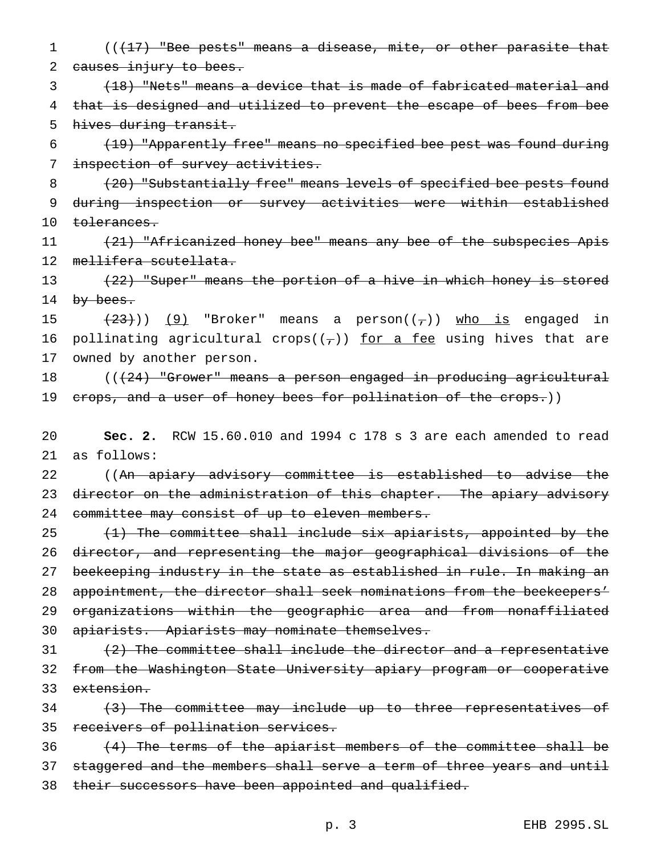1 (( $\left(17\right)$  "Bee pests" means a disease, mite, or other parasite that 2 causes injury to bees.

3 (18) "Nets" means a device that is made of fabricated material and 4 that is designed and utilized to prevent the escape of bees from bee 5 hives during transit.

6 (19) "Apparently free" means no specified bee pest was found during 7 inspection of survey activities.

8 (20) "Substantially free" means levels of specified bee pests found 9 during inspection or survey activities were within established 10 tolerances.

11 (21) "Africanized honey bee" means any bee of the subspecies Apis 12 mellifera scutellata.

13 (22) "Super" means the portion of a hive in which honey is stored 14 by bees.

15  $(23)$ )) (9) "Broker" means a person $((7))$  who is engaged in 16 pollinating agricultural crops( $(\tau)$ ) for a fee using hives that are 17 owned by another person.

18 ((<del>(24) "Grower" means a person engaged in producing agricultural</del> 19 crops, and a user of honey bees for pollination of the crops.))

20 **Sec. 2.** RCW 15.60.010 and 1994 c 178 s 3 are each amended to read 21 as follows:

22 ((An apiary advisory committee is established to advise the 23 director on the administration of this chapter. The apiary advisory 24 committee may consist of up to eleven members.

 (1) The committee shall include six apiarists, appointed by the director, and representing the major geographical divisions of the 27 beekeeping industry in the state as established in rule. In making an 28 appointment, the director shall seek nominations from the beekeepers' organizations within the geographic area and from nonaffiliated apiarists. Apiarists may nominate themselves.

 $31$  (2) The committee shall include the director and a representative 32 from the Washington State University apiary program or cooperative 33 extension.

34 (3) The committee may include up to three representatives of 35 receivers of pollination services.

36 (4) The terms of the apiarist members of the committee shall be 37 staggered and the members shall serve a term of three years and until 38 their successors have been appointed and qualified.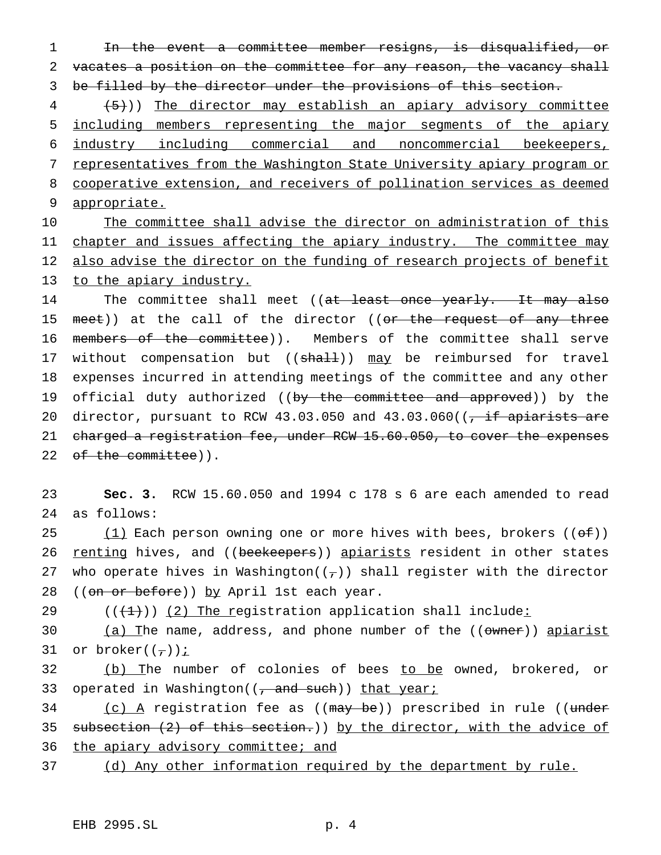1 In the event a committee member resigns, is disqualified, or 2 vacates a position on the committee for any reason, the vacancy shall 3 be filled by the director under the provisions of this section.

4 (5))) The director may establish an apiary advisory committee including members representing the major segments of the apiary industry including commercial and noncommercial beekeepers, 7 representatives from the Washington State University apiary program or cooperative extension, and receivers of pollination services as deemed appropriate.

10 The committee shall advise the director on administration of this 11 chapter and issues affecting the apiary industry. The committee may 12 also advise the director on the funding of research projects of benefit 13 to the apiary industry.

14 The committee shall meet ((at least once yearly. It may also 15 meet)) at the call of the director ((or the request of any three 16 members of the committee)). Members of the committee shall serve 17 without compensation but ((shall)) may be reimbursed for travel 18 expenses incurred in attending meetings of the committee and any other 19 official duty authorized ((by the committee and approved)) by the 20 director, pursuant to RCW 43.03.050 and  $43.03.060$  ( $\frac{1}{10}$  apiarists are 21 charged a registration fee, under RCW 15.60.050, to cover the expenses 22 of the committee)).

23 **Sec. 3.** RCW 15.60.050 and 1994 c 178 s 6 are each amended to read 24 as follows:

25 (1) Each person owning one or more hives with bees, brokers  $((\theta \oplus f))$ 26 renting hives, and ((beekeepers)) apiarists resident in other states 27 who operate hives in Washington( $(\tau)$ ) shall register with the director 28 ((on or before)) by April 1st each year.

29  $((+1))$   $(2)$  The registration application shall include:

30 (a) The name, address, and phone number of the ((owner)) apiarist 31 or broker $((-))$  *i* 

32 (b) The number of colonies of bees to be owned, brokered, or 33 operated in Washington( $(\tau$  and such)) that year;

34 (c) A registration fee as ((may be)) prescribed in rule ((under 35 subsection (2) of this section.)) by the director, with the advice of 36 the apiary advisory committee; and

37 (d) Any other information required by the department by rule.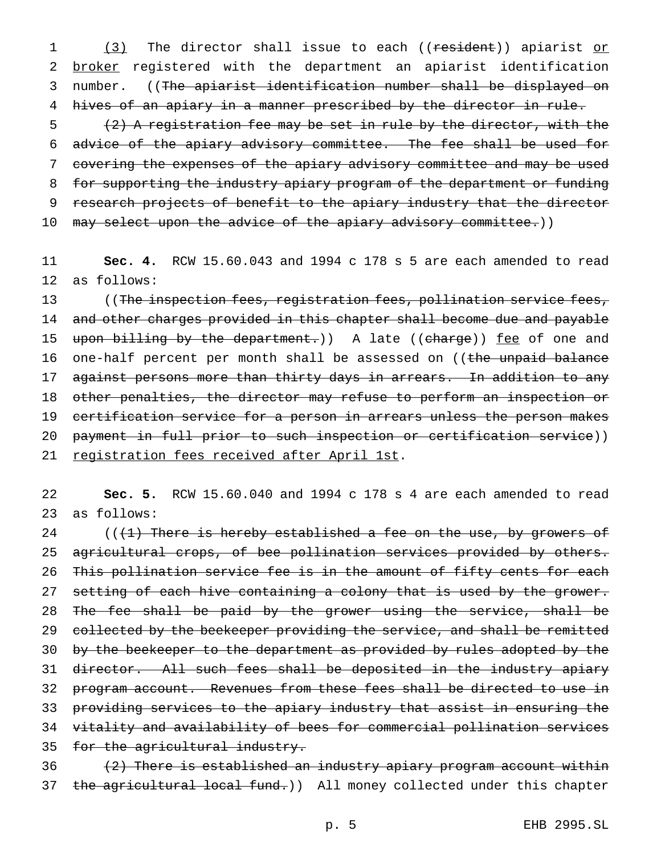1 (3) The director shall issue to each ((resident)) apiarist or 2 broker registered with the department an apiarist identification 3 number. ((The apiarist identification number shall be displayed on 4 hives of an apiary in a manner prescribed by the director in rule.

5 (2) A registration fee may be set in rule by the director, with the 6 advice of the apiary advisory committee. The fee shall be used for 7 covering the expenses of the apiary advisory committee and may be used 8 for supporting the industry apiary program of the department or funding 9 research projects of benefit to the apiary industry that the director 10 may select upon the advice of the apiary advisory committee.))

11 **Sec. 4.** RCW 15.60.043 and 1994 c 178 s 5 are each amended to read 12 as follows:

13 ((The inspection fees, registration fees, pollination service fees, 14 and other charges provided in this chapter shall become due and payable 15 upon billing by the department.)) A late ((charge)) fee of one and 16 one-half percent per month shall be assessed on ((the unpaid balance 17 against persons more than thirty days in arrears. In addition to any 18 other penalties, the director may refuse to perform an inspection or 19 certification service for a person in arrears unless the person makes 20 payment in full prior to such inspection or certification service)) 21 registration fees received after April 1st.

22 **Sec. 5.** RCW 15.60.040 and 1994 c 178 s 4 are each amended to read 23 as follows:

24 ( $(1)$  There is hereby established a fee on the use, by growers of 25 agricultural crops, of bee pollination services provided by others. 26 This pollination service fee is in the amount of fifty cents for each 27 setting of each hive containing a colony that is used by the grower. 28 The fee shall be paid by the grower using the service, shall be 29 collected by the beekeeper providing the service, and shall be remitted 30 by the beekeeper to the department as provided by rules adopted by the 31 director. All such fees shall be deposited in the industry apiary 32 program account. Revenues from these fees shall be directed to use in 33 providing services to the apiary industry that assist in ensuring the 34 vitality and availability of bees for commercial pollination services 35 for the agricultural industry.

 $36$  (2) There is established an industry apiary program account within 37 the agricultural local fund.)) All money collected under this chapter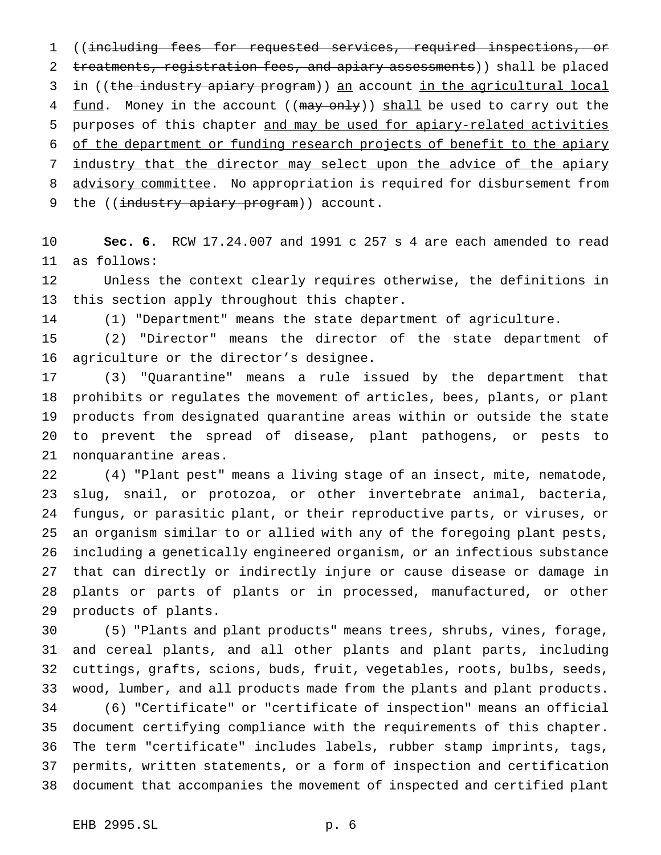((including fees for requested services, required inspections, or 2 treatments, registration fees, and apiary assessments)) shall be placed 3 in ((the industry apiary program)) an account in the agricultural local 4 <u>fund</u>. Money in the account ((may only)) shall be used to carry out the purposes of this chapter and may be used for apiary-related activities of the department or funding research projects of benefit to the apiary 7 industry that the director may select upon the advice of the apiary 8 advisory committee. No appropriation is required for disbursement from 9 the ((industry apiary program)) account.

 **Sec. 6.** RCW 17.24.007 and 1991 c 257 s 4 are each amended to read as follows:

 Unless the context clearly requires otherwise, the definitions in this section apply throughout this chapter.

(1) "Department" means the state department of agriculture.

 (2) "Director" means the director of the state department of agriculture or the director's designee.

 (3) "Quarantine" means a rule issued by the department that prohibits or regulates the movement of articles, bees, plants, or plant products from designated quarantine areas within or outside the state to prevent the spread of disease, plant pathogens, or pests to nonquarantine areas.

 (4) "Plant pest" means a living stage of an insect, mite, nematode, slug, snail, or protozoa, or other invertebrate animal, bacteria, fungus, or parasitic plant, or their reproductive parts, or viruses, or an organism similar to or allied with any of the foregoing plant pests, including a genetically engineered organism, or an infectious substance that can directly or indirectly injure or cause disease or damage in plants or parts of plants or in processed, manufactured, or other products of plants.

 (5) "Plants and plant products" means trees, shrubs, vines, forage, and cereal plants, and all other plants and plant parts, including cuttings, grafts, scions, buds, fruit, vegetables, roots, bulbs, seeds, wood, lumber, and all products made from the plants and plant products. (6) "Certificate" or "certificate of inspection" means an official document certifying compliance with the requirements of this chapter. The term "certificate" includes labels, rubber stamp imprints, tags, permits, written statements, or a form of inspection and certification document that accompanies the movement of inspected and certified plant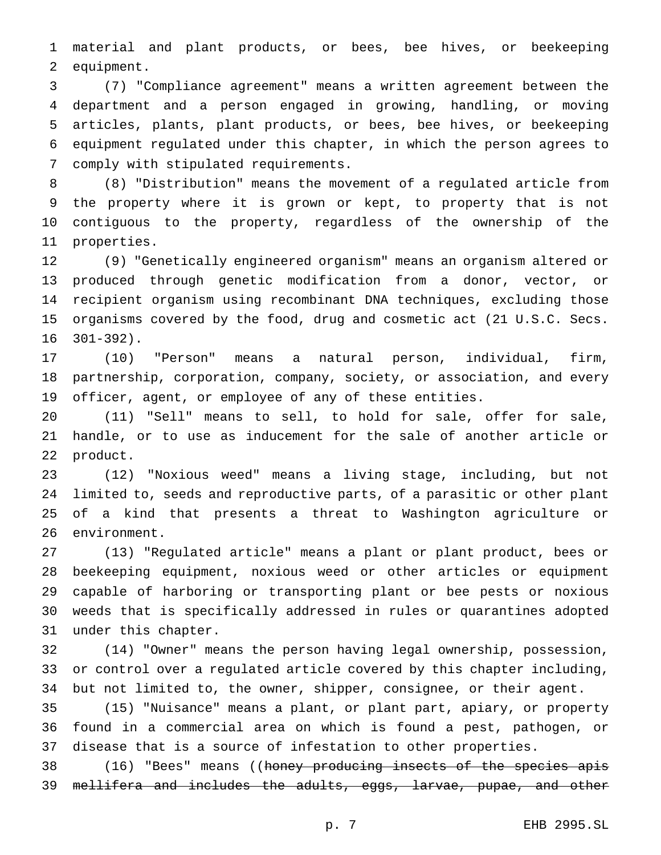material and plant products, or bees, bee hives, or beekeeping equipment.

 (7) "Compliance agreement" means a written agreement between the department and a person engaged in growing, handling, or moving articles, plants, plant products, or bees, bee hives, or beekeeping equipment regulated under this chapter, in which the person agrees to comply with stipulated requirements.

 (8) "Distribution" means the movement of a regulated article from the property where it is grown or kept, to property that is not contiguous to the property, regardless of the ownership of the properties.

 (9) "Genetically engineered organism" means an organism altered or produced through genetic modification from a donor, vector, or recipient organism using recombinant DNA techniques, excluding those organisms covered by the food, drug and cosmetic act (21 U.S.C. Secs. 301-392).

 (10) "Person" means a natural person, individual, firm, partnership, corporation, company, society, or association, and every officer, agent, or employee of any of these entities.

 (11) "Sell" means to sell, to hold for sale, offer for sale, handle, or to use as inducement for the sale of another article or product.

 (12) "Noxious weed" means a living stage, including, but not limited to, seeds and reproductive parts, of a parasitic or other plant of a kind that presents a threat to Washington agriculture or environment.

 (13) "Regulated article" means a plant or plant product, bees or beekeeping equipment, noxious weed or other articles or equipment capable of harboring or transporting plant or bee pests or noxious weeds that is specifically addressed in rules or quarantines adopted under this chapter.

 (14) "Owner" means the person having legal ownership, possession, or control over a regulated article covered by this chapter including, but not limited to, the owner, shipper, consignee, or their agent.

 (15) "Nuisance" means a plant, or plant part, apiary, or property found in a commercial area on which is found a pest, pathogen, or disease that is a source of infestation to other properties.

38 (16) "Bees" means ((honey producing insects of the species apis mellifera and includes the adults, eggs, larvae, pupae, and other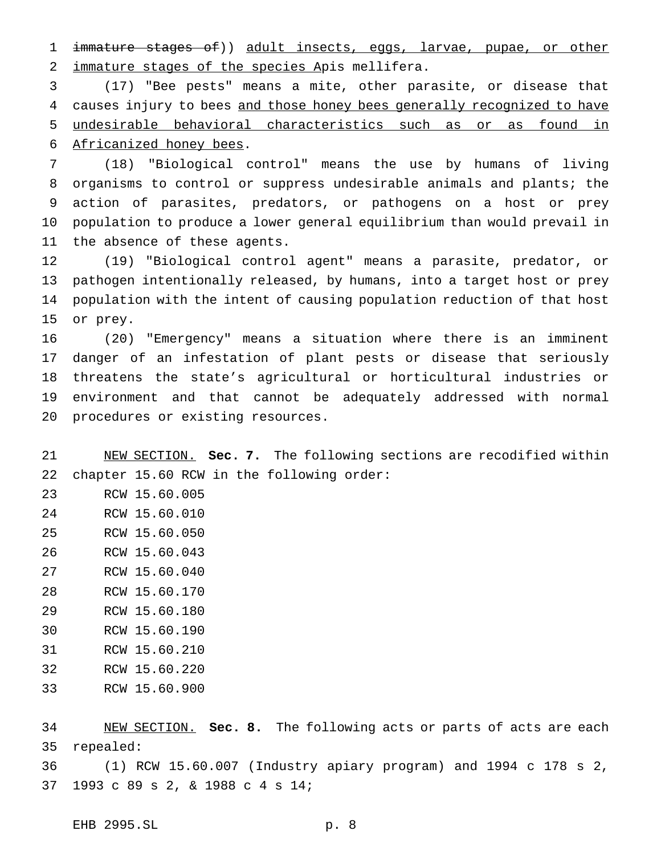1 immature stages of)) adult insects, eggs, larvae, pupae, or other 2 immature stages of the species Apis mellifera.

 (17) "Bee pests" means a mite, other parasite, or disease that 4 causes injury to bees and those honey bees generally recognized to have undesirable behavioral characteristics such as or as found in Africanized honey bees.

 (18) "Biological control" means the use by humans of living organisms to control or suppress undesirable animals and plants; the action of parasites, predators, or pathogens on a host or prey population to produce a lower general equilibrium than would prevail in the absence of these agents.

 (19) "Biological control agent" means a parasite, predator, or pathogen intentionally released, by humans, into a target host or prey population with the intent of causing population reduction of that host or prey.

 (20) "Emergency" means a situation where there is an imminent danger of an infestation of plant pests or disease that seriously threatens the state's agricultural or horticultural industries or environment and that cannot be adequately addressed with normal procedures or existing resources.

 NEW SECTION. **Sec. 7.** The following sections are recodified within chapter 15.60 RCW in the following order:

RCW 15.60.005

- RCW 15.60.010
- RCW 15.60.050
- RCW 15.60.043
- RCW 15.60.040
- RCW 15.60.170
- RCW 15.60.180
- RCW 15.60.190
- RCW 15.60.210
- RCW 15.60.220
- RCW 15.60.900

 NEW SECTION. **Sec. 8.** The following acts or parts of acts are each repealed:

 (1) RCW 15.60.007 (Industry apiary program) and 1994 c 178 s 2, 1993 c 89 s 2, & 1988 c 4 s 14;